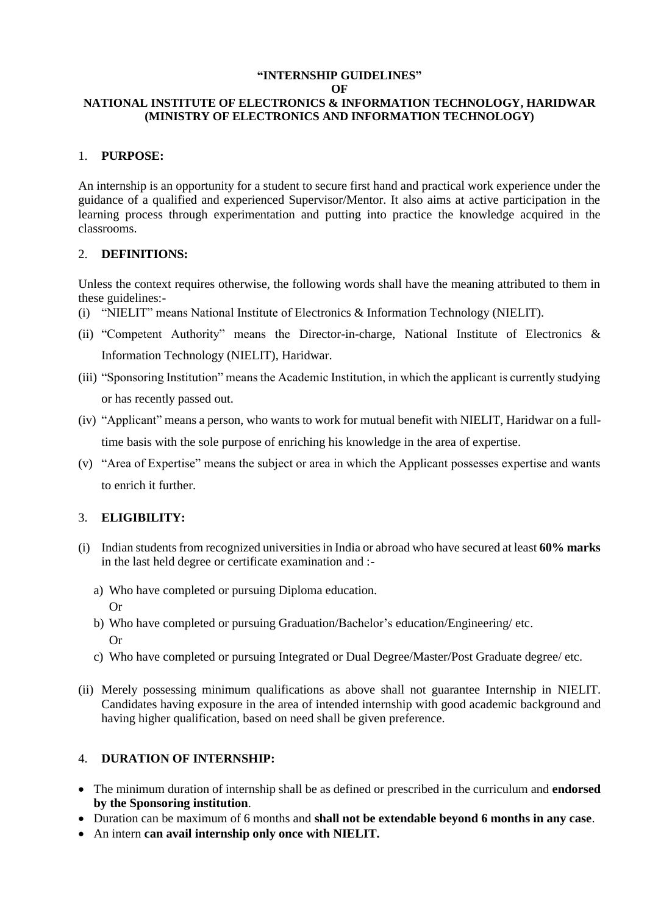### **"INTERNSHIP GUIDELINES"**

**OF**

### **NATIONAL INSTITUTE OF ELECTRONICS & INFORMATION TECHNOLOGY, HARIDWAR (MINISTRY OF ELECTRONICS AND INFORMATION TECHNOLOGY)**

### 1. **PURPOSE:**

An internship is an opportunity for a student to secure first hand and practical work experience under the guidance of a qualified and experienced Supervisor/Mentor. It also aims at active participation in the learning process through experimentation and putting into practice the knowledge acquired in the classrooms.

#### 2. **DEFINITIONS:**

Unless the context requires otherwise, the following words shall have the meaning attributed to them in these guidelines:-

- (i) "NIELIT" means National Institute of Electronics & Information Technology (NIELIT).
- (ii) "Competent Authority" means the Director-in-charge, National Institute of Electronics & Information Technology (NIELIT), Haridwar.
- (iii) "Sponsoring Institution" means the Academic Institution, in which the applicant is currently studying or has recently passed out.
- (iv) "Applicant" means a person, who wants to work for mutual benefit with NIELIT, Haridwar on a fulltime basis with the sole purpose of enriching his knowledge in the area of expertise.
- (v) "Area of Expertise" means the subject or area in which the Applicant possesses expertise and wants to enrich it further.

### 3. **ELIGIBILITY:**

- (i) Indian students from recognized universities in India or abroad who have secured at least **60% marks**  in the last held degree or certificate examination and :
	- a) Who have completed or pursuing Diploma education. Or
	- b) Who have completed or pursuing Graduation/Bachelor's education/Engineering/ etc. Or
	- c) Who have completed or pursuing Integrated or Dual Degree/Master/Post Graduate degree/ etc.
- (ii) Merely possessing minimum qualifications as above shall not guarantee Internship in NIELIT. Candidates having exposure in the area of intended internship with good academic background and having higher qualification, based on need shall be given preference.

### 4. **DURATION OF INTERNSHIP:**

- The minimum duration of internship shall be as defined or prescribed in the curriculum and **endorsed by the Sponsoring institution**.
- Duration can be maximum of 6 months and **shall not be extendable beyond 6 months in any case**.
- An intern **can avail internship only once with NIELIT.**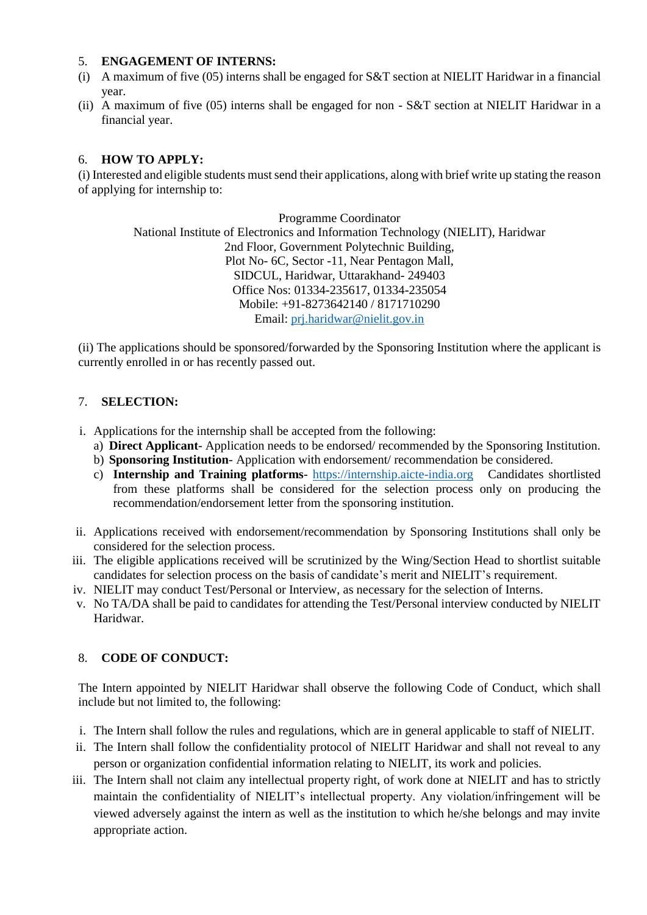### 5. **ENGAGEMENT OF INTERNS:**

- (i) A maximum of five (05) interns shall be engaged for S&T section at NIELIT Haridwar in a financial year.
- (ii) A maximum of five (05) interns shall be engaged for non S&T section at NIELIT Haridwar in a financial year.

### 6. **HOW TO APPLY:**

(i) Interested and eligible students must send their applications, along with brief write up stating the reason of applying for internship to:

> Programme Coordinator National Institute of Electronics and Information Technology (NIELIT), Haridwar 2nd Floor, Government Polytechnic Building, Plot No- 6C, Sector -11, Near Pentagon Mall, SIDCUL, Haridwar, Uttarakhand- 249403 Office Nos: 01334-235617, 01334-235054 Mobile: +91-8273642140 / 8171710290 Email: [prj.haridwar@nielit.gov.in](mailto:prj.haridwar@nielit.gov.in)

(ii) The applications should be sponsored/forwarded by the Sponsoring Institution where the applicant is currently enrolled in or has recently passed out.

# 7. **SELECTION:**

- i. Applications for the internship shall be accepted from the following:
	- a) **Direct Applicant** Application needs to be endorsed/ recommended by the Sponsoring Institution.
	- b) **Sponsoring Institution** Application with endorsement/ recommendation be considered.
	- c) **Internship and Training platforms** [https://internship.aicte-india.org](https://internship.aicte-india.org/) Candidates shortlisted from these platforms shall be considered for the selection process only on producing the recommendation/endorsement letter from the sponsoring institution.
- ii. Applications received with endorsement/recommendation by Sponsoring Institutions shall only be considered for the selection process.
- iii. The eligible applications received will be scrutinized by the Wing/Section Head to shortlist suitable candidates for selection process on the basis of candidate's merit and NIELIT's requirement.
- iv. NIELIT may conduct Test/Personal or Interview, as necessary for the selection of Interns.
- v. No TA/DA shall be paid to candidates for attending the Test/Personal interview conducted by NIELIT Haridwar.

### 8. **CODE OF CONDUCT:**

The Intern appointed by NIELIT Haridwar shall observe the following Code of Conduct, which shall include but not limited to, the following:

- i. The Intern shall follow the rules and regulations, which are in general applicable to staff of NIELIT.
- ii. The Intern shall follow the confidentiality protocol of NIELIT Haridwar and shall not reveal to any person or organization confidential information relating to NIELIT, its work and policies.
- iii. The Intern shall not claim any intellectual property right, of work done at NIELIT and has to strictly maintain the confidentiality of NIELIT's intellectual property. Any violation/infringement will be viewed adversely against the intern as well as the institution to which he/she belongs and may invite appropriate action.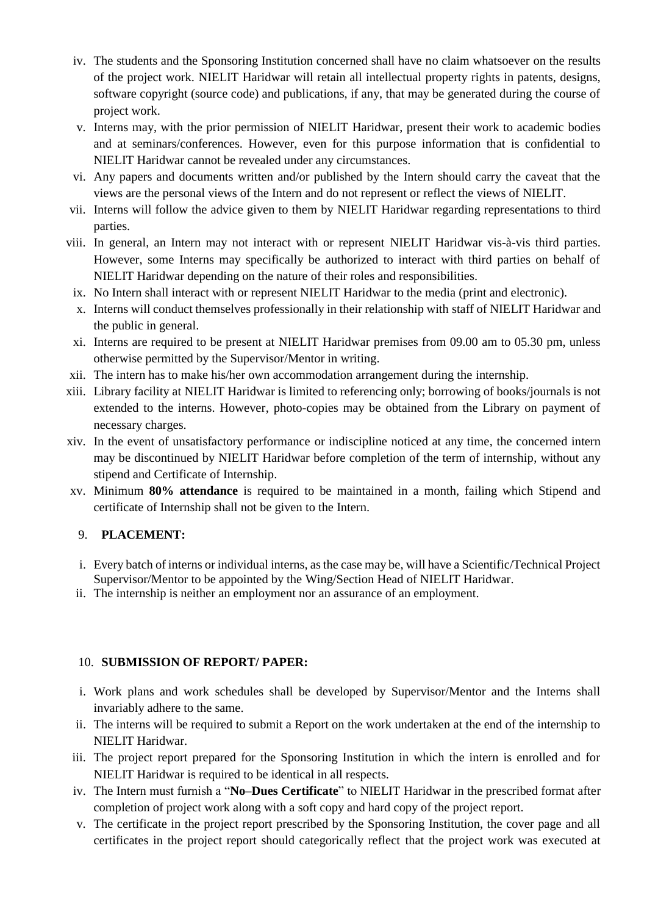- iv. The students and the Sponsoring Institution concerned shall have no claim whatsoever on the results of the project work. NIELIT Haridwar will retain all intellectual property rights in patents, designs, software copyright (source code) and publications, if any, that may be generated during the course of project work.
- v. Interns may, with the prior permission of NIELIT Haridwar, present their work to academic bodies and at seminars/conferences. However, even for this purpose information that is confidential to NIELIT Haridwar cannot be revealed under any circumstances.
- vi. Any papers and documents written and/or published by the Intern should carry the caveat that the views are the personal views of the Intern and do not represent or reflect the views of NIELIT.
- vii. Interns will follow the advice given to them by NIELIT Haridwar regarding representations to third parties.
- viii. In general, an Intern may not interact with or represent NIELIT Haridwar vis-à-vis third parties. However, some Interns may specifically be authorized to interact with third parties on behalf of NIELIT Haridwar depending on the nature of their roles and responsibilities.
- ix. No Intern shall interact with or represent NIELIT Haridwar to the media (print and electronic).
- x. Interns will conduct themselves professionally in their relationship with staff of NIELIT Haridwar and the public in general.
- xi. Interns are required to be present at NIELIT Haridwar premises from 09.00 am to 05.30 pm, unless otherwise permitted by the Supervisor/Mentor in writing.
- xii. The intern has to make his/her own accommodation arrangement during the internship.
- xiii. Library facility at NIELIT Haridwar is limited to referencing only; borrowing of books/journals is not extended to the interns. However, photo-copies may be obtained from the Library on payment of necessary charges.
- xiv. In the event of unsatisfactory performance or indiscipline noticed at any time, the concerned intern may be discontinued by NIELIT Haridwar before completion of the term of internship, without any stipend and Certificate of Internship.
- xv. Minimum **80% attendance** is required to be maintained in a month, failing which Stipend and certificate of Internship shall not be given to the Intern.

### 9. **PLACEMENT:**

- i. Every batch of interns or individual interns, as the case may be, will have a Scientific/Technical Project Supervisor/Mentor to be appointed by the Wing/Section Head of NIELIT Haridwar.
- ii. The internship is neither an employment nor an assurance of an employment.

### 10. **SUBMISSION OF REPORT/ PAPER:**

- i. Work plans and work schedules shall be developed by Supervisor/Mentor and the Interns shall invariably adhere to the same.
- ii. The interns will be required to submit a Report on the work undertaken at the end of the internship to NIELIT Haridwar.
- iii. The project report prepared for the Sponsoring Institution in which the intern is enrolled and for NIELIT Haridwar is required to be identical in all respects.
- iv. The Intern must furnish a "**No–Dues Certificate**" to NIELIT Haridwar in the prescribed format after completion of project work along with a soft copy and hard copy of the project report.
- v. The certificate in the project report prescribed by the Sponsoring Institution, the cover page and all certificates in the project report should categorically reflect that the project work was executed at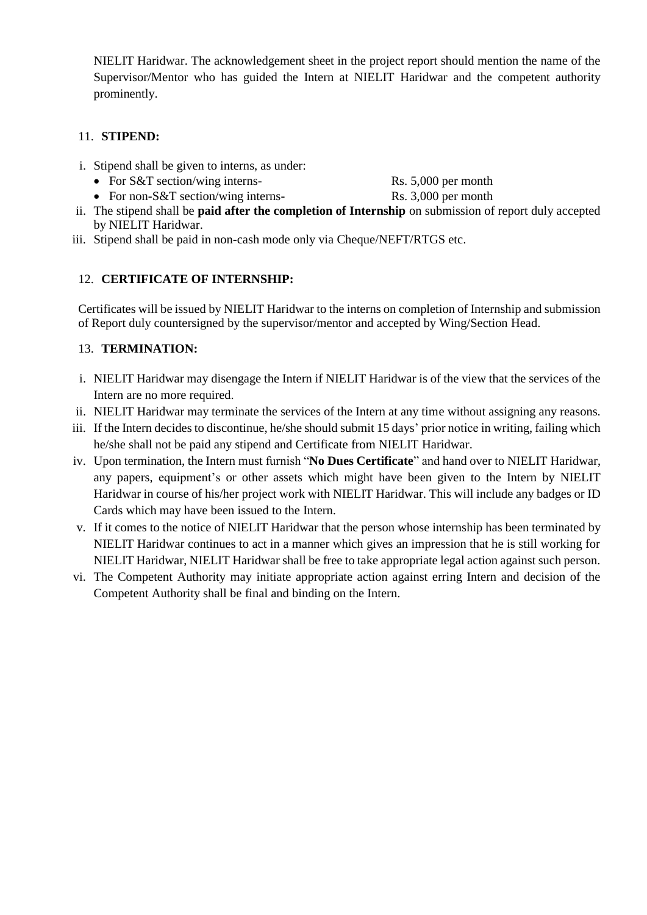NIELIT Haridwar. The acknowledgement sheet in the project report should mention the name of the Supervisor/Mentor who has guided the Intern at NIELIT Haridwar and the competent authority prominently.

# 11. **STIPEND:**

- i. Stipend shall be given to interns, as under:
	- For S&T section/wing interns- Rs. 5,000 per month
		-
	- For non-S&T section/wing interns- Rs. 3,000 per month
		-
- ii. The stipend shall be **paid after the completion of Internship** on submission of report duly accepted by NIELIT Haridwar.
- iii. Stipend shall be paid in non-cash mode only via Cheque/NEFT/RTGS etc.

# 12. **CERTIFICATE OF INTERNSHIP:**

Certificates will be issued by NIELIT Haridwar to the interns on completion of Internship and submission of Report duly countersigned by the supervisor/mentor and accepted by Wing/Section Head.

# 13. **TERMINATION:**

- i. NIELIT Haridwar may disengage the Intern if NIELIT Haridwar is of the view that the services of the Intern are no more required.
- ii. NIELIT Haridwar may terminate the services of the Intern at any time without assigning any reasons.
- iii. If the Intern decides to discontinue, he/she should submit 15 days' prior notice in writing, failing which he/she shall not be paid any stipend and Certificate from NIELIT Haridwar.
- iv. Upon termination, the Intern must furnish "**No Dues Certificate**" and hand over to NIELIT Haridwar, any papers, equipment's or other assets which might have been given to the Intern by NIELIT Haridwar in course of his/her project work with NIELIT Haridwar. This will include any badges or ID Cards which may have been issued to the Intern.
- v. If it comes to the notice of NIELIT Haridwar that the person whose internship has been terminated by NIELIT Haridwar continues to act in a manner which gives an impression that he is still working for NIELIT Haridwar, NIELIT Haridwar shall be free to take appropriate legal action against such person.
- vi. The Competent Authority may initiate appropriate action against erring Intern and decision of the Competent Authority shall be final and binding on the Intern.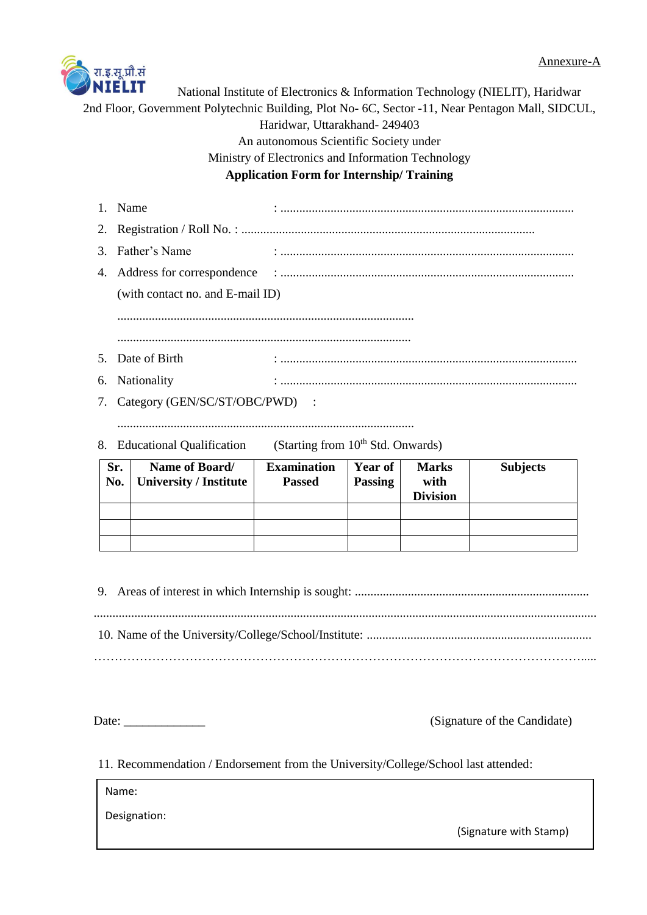

National Institute of Electronics & Information Technology (NIELIT), Haridwar 2nd Floor, Government Polytechnic Building, Plot No- 6C, Sector -11, Near Pentagon Mall, SIDCUL, Haridwar, Uttarakhand- 249403 An autonomous Scientific Society under Ministry of Electronics and Information Technology **Application Form for Internship/ Training**

| 1. Name                           |  |
|-----------------------------------|--|
|                                   |  |
| 3. Father's Name                  |  |
|                                   |  |
| (with contact no. and E-mail ID)  |  |
|                                   |  |
|                                   |  |
| 5. Date of Birth                  |  |
| 6. Nationality                    |  |
| 7. Category (GEN/SC/ST/OBC/PWD) : |  |
|                                   |  |

8. Educational Qualification (Starting from 10<sup>th</sup> Std. Onwards)

| Sr.<br>No. | Name of Board/<br><b>University / Institute</b> | <b>Examination</b><br><b>Passed</b> | Year of<br><b>Passing</b> | <b>Marks</b><br>with<br><b>Division</b> | <b>Subjects</b> |
|------------|-------------------------------------------------|-------------------------------------|---------------------------|-----------------------------------------|-----------------|
|            |                                                 |                                     |                           |                                         |                 |
|            |                                                 |                                     |                           |                                         |                 |
|            |                                                 |                                     |                           |                                         |                 |

9. Areas of interest in which Internship is sought: ........................................................................... ................................................................................................................................................................. 10. Name of the University/College/School/Institute: ........................................................................ ……………………………………………………………………………………………………….....

Date: \_\_\_\_\_\_\_\_\_\_\_\_\_ (Signature of the Candidate)

11. Recommendation / Endorsement from the University/College/School last attended:

Name:

Designation:

(Signature with Stamp)